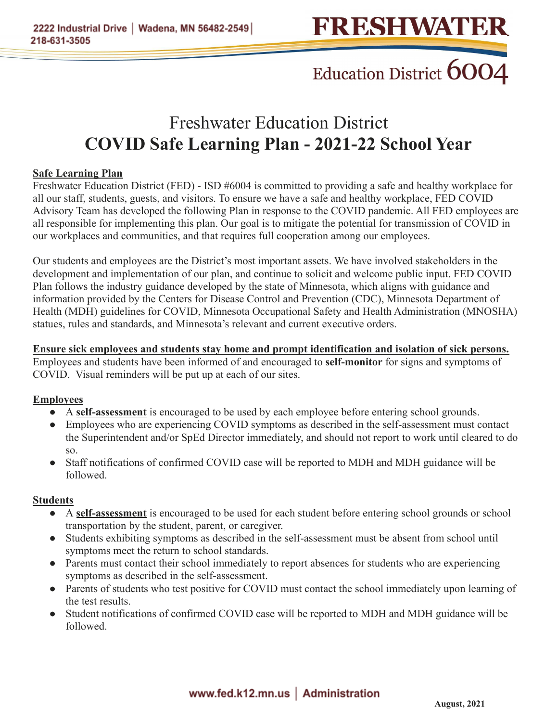### Education District 6004

### Freshwater Education District **COVID Safe Learning Plan - 2021-22 School Year**

#### **Safe Learning Plan**

Freshwater Education District (FED) - ISD #6004 is committed to providing a safe and healthy workplace for all our staff, students, guests, and visitors. To ensure we have a safe and healthy workplace, FED COVID Advisory Team has developed the following Plan in response to the COVID pandemic. All FED employees are all responsible for implementing this plan. Our goal is to mitigate the potential for transmission of COVID in our workplaces and communities, and that requires full cooperation among our employees.

Our students and employees are the District's most important assets. We have involved stakeholders in the development and implementation of our plan, and continue to solicit and welcome public input. FED COVID Plan follows the industry guidance developed by the state of Minnesota, which aligns with guidance and information provided by the Centers for Disease Control and Prevention (CDC), Minnesota Department of Health (MDH) guidelines for COVID, Minnesota Occupational Safety and Health Administration (MNOSHA) statues, rules and standards, and Minnesota's relevant and current executive orders.

**Ensure sick employees and students stay home and prompt identification and isolation of sick persons.** Employees and students have been informed of and encouraged to **self-monitor** for signs and symptoms of COVID. Visual reminders will be put up at each of our sites.

#### **Employees**

- A **self-assessment** is encouraged to be used by each employee before entering school grounds.
- Employees who are experiencing COVID symptoms as described in the self-assessment must contact the Superintendent and/or SpEd Director immediately, and should not report to work until cleared to do so.
- Staff notifications of confirmed COVID case will be reported to MDH and MDH guidance will be followed.

#### **Students**

- A **self-assessment** is encouraged to be used for each student before entering school grounds or school transportation by the student, parent, or caregiver.
- Students exhibiting symptoms as described in the self-assessment must be absent from school until symptoms meet the return to school standards.
- Parents must contact their school immediately to report absences for students who are experiencing symptoms as described in the self-assessment.
- Parents of students who test positive for COVID must contact the school immediately upon learning of the test results.
- Student notifications of confirmed COVID case will be reported to MDH and MDH guidance will be followed.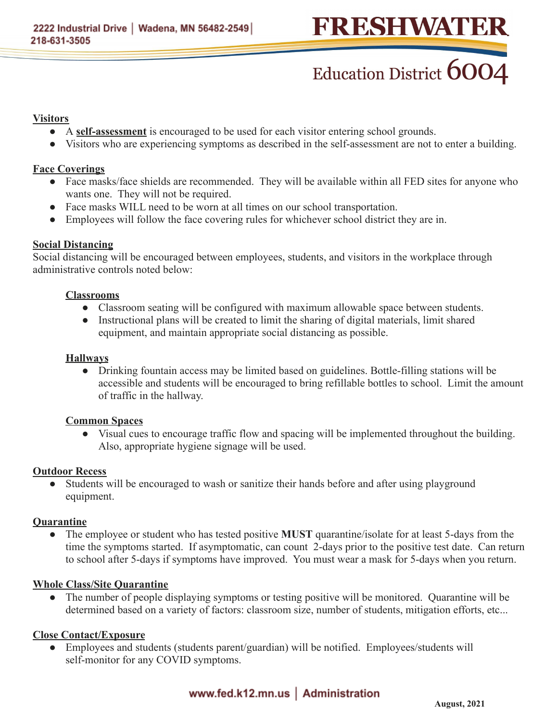## FRESHWATER

# Education District 6004

#### **Visitors**

- A **self-assessment** is encouraged to be used for each visitor entering school grounds.
- Visitors who are experiencing symptoms as described in the self-assessment are not to enter a building.

#### **Face Coverings**

- Face masks/face shields are recommended. They will be available within all FED sites for anyone who wants one. They will not be required.
- Face masks WILL need to be worn at all times on our school transportation.
- Employees will follow the face covering rules for whichever school district they are in.

#### **Social Distancing**

Social distancing will be encouraged between employees, students, and visitors in the workplace through administrative controls noted below:

#### **Classrooms**

- Classroom seating will be configured with maximum allowable space between students.
- Instructional plans will be created to limit the sharing of digital materials, limit shared equipment, and maintain appropriate social distancing as possible.

#### **Hallways**

● Drinking fountain access may be limited based on guidelines. Bottle-filling stations will be accessible and students will be encouraged to bring refillable bottles to school. Limit the amount of traffic in the hallway.

#### **Common Spaces**

● Visual cues to encourage traffic flow and spacing will be implemented throughout the building. Also, appropriate hygiene signage will be used.

#### **Outdoor Recess**

• Students will be encouraged to wash or sanitize their hands before and after using playground equipment.

#### **Quarantine**

● The employee or student who has tested positive **MUST** quarantine/isolate for at least 5-days from the time the symptoms started. If asymptomatic, can count 2-days prior to the positive test date. Can return to school after 5-days if symptoms have improved. You must wear a mask for 5-days when you return.

#### **Whole Class/Site Quarantine**

• The number of people displaying symptoms or testing positive will be monitored. Quarantine will be determined based on a variety of factors: classroom size, number of students, mitigation efforts, etc...

#### **Close Contact/Exposure**

• Employees and students (students parent/guardian) will be notified. Employees/students will self-monitor for any COVID symptoms.